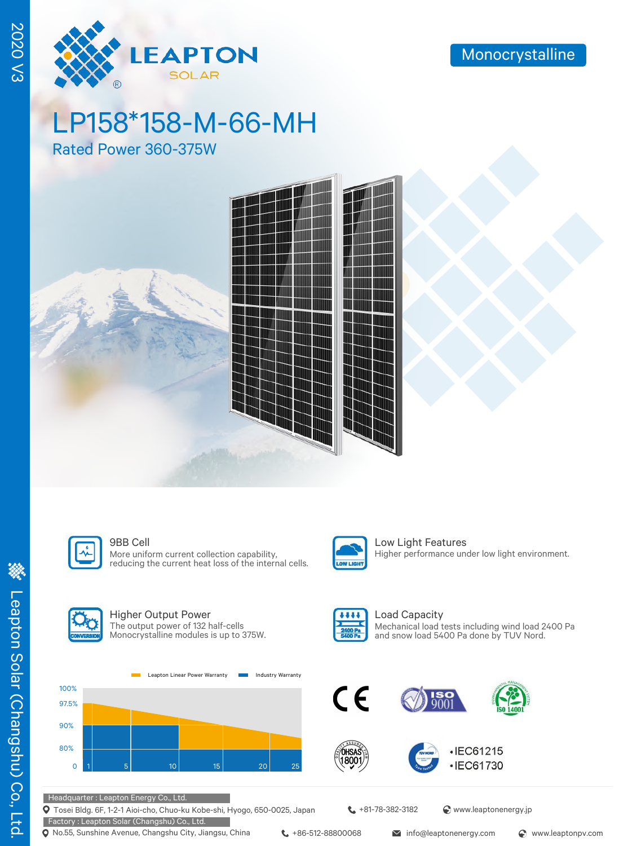

# LP158\*158-M-66-MH

Rated Power 360-375W





More uniform current collection capability, reducing the current heat loss of the internal cells.



**9BB Cell** Low Light Features Higher performance under low light environment.



# Higher Output Power

The output power of 132 half-cells Monocrystalline modules is up to 375W.





Load Capacity Mechanical load tests including wind load 2400 Pa and snow load 5400 Pa done by TUV Nord.







Headquarter : Leapton Energy Co., Ltd.

Tosei Bldg. 6F, 1-2-1 Aioi-cho, Chuo-ku Kobe-shi, Hyogo, 650-0025, Japan Factory : Leapton Solar (Changshu) Co., Ltd.

Q No.55, Sunshine Avenue, Changshu City, Jiangsu, China ↓ +86-512-88800068 info@leaptonenergy.com © www.leaptonpv.com

 $\leftarrow$  +81-78-382-3182  $\bullet$  www.leaptonenergy.jp